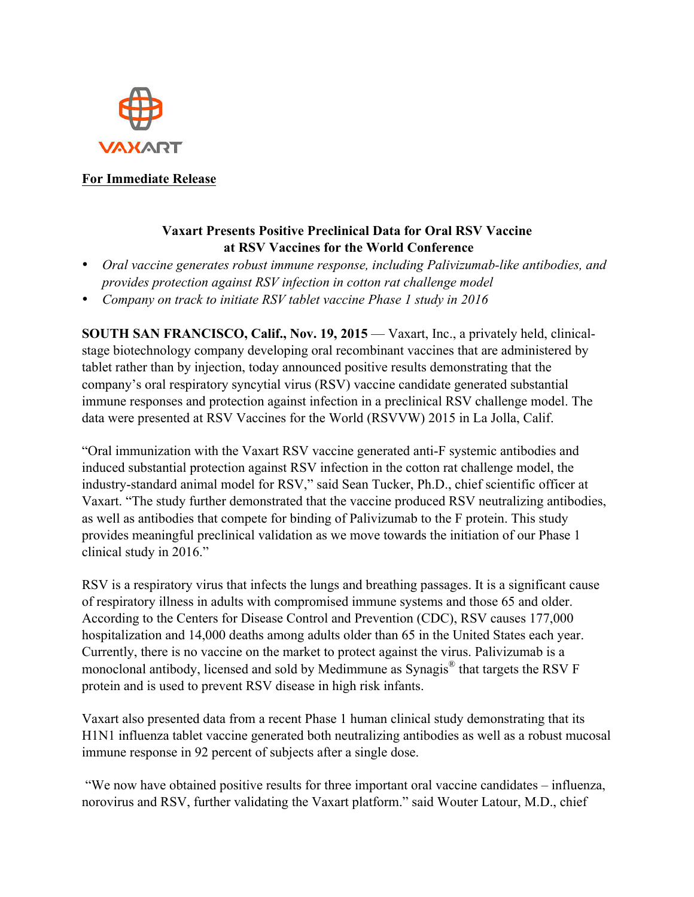

## **For Immediate Release**

## **Vaxart Presents Positive Preclinical Data for Oral RSV Vaccine at RSV Vaccines for the World Conference**

- *Oral vaccine generates robust immune response, including Palivizumab-like antibodies, and provides protection against RSV infection in cotton rat challenge model*
- *Company on track to initiate RSV tablet vaccine Phase 1 study in 2016*

**SOUTH SAN FRANCISCO, Calif., Nov. 19, 2015** — Vaxart, Inc., a privately held, clinicalstage biotechnology company developing oral recombinant vaccines that are administered by tablet rather than by injection, today announced positive results demonstrating that the company's oral respiratory syncytial virus (RSV) vaccine candidate generated substantial immune responses and protection against infection in a preclinical RSV challenge model. The data were presented at RSV Vaccines for the World (RSVVW) 2015 in La Jolla, Calif.

"Oral immunization with the Vaxart RSV vaccine generated anti-F systemic antibodies and induced substantial protection against RSV infection in the cotton rat challenge model, the industry-standard animal model for RSV," said Sean Tucker, Ph.D., chief scientific officer at Vaxart. "The study further demonstrated that the vaccine produced RSV neutralizing antibodies, as well as antibodies that compete for binding of Palivizumab to the F protein. This study provides meaningful preclinical validation as we move towards the initiation of our Phase 1 clinical study in 2016."

RSV is a respiratory virus that infects the lungs and breathing passages. It is a significant cause of respiratory illness in adults with compromised immune systems and those 65 and older. According to the Centers for Disease Control and Prevention (CDC), RSV causes 177,000 hospitalization and 14,000 deaths among adults older than 65 in the United States each year. Currently, there is no vaccine on the market to protect against the virus. Palivizumab is a monoclonal antibody, licensed and sold by Medimmune as Synagis® that targets the RSV F protein and is used to prevent RSV disease in high risk infants.

Vaxart also presented data from a recent Phase 1 human clinical study demonstrating that its H1N1 influenza tablet vaccine generated both neutralizing antibodies as well as a robust mucosal immune response in 92 percent of subjects after a single dose.

"We now have obtained positive results for three important oral vaccine candidates – influenza, norovirus and RSV, further validating the Vaxart platform." said Wouter Latour, M.D., chief